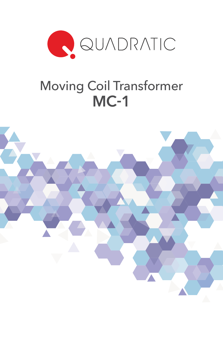

# Moving Coil Transformer MC-1

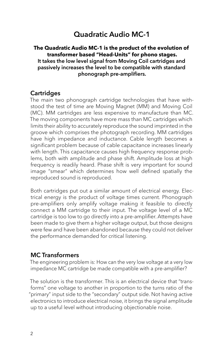## Quadratic Audio MC-1

#### **The Quadratic Audio MC-1 is the product of the evolution of transformer based "Head-Units" for phono stages.**  It takes the low level signal from Moving Coil cartridges and passively increases the level to be compatible with standard phonograph pre-amplifiers.

#### **Cartridges**

The main two phonograph cartridge technologies that have withstood the test of time are Moving Magnet (MM) and Moving Coil (MC). MM cartridges are less expensive to manufacture than MC. The moving components have more mass than MC cartridges which limits their ability to accurately reproduce the sound imprinted in the groove which comprises the photograph recording. MM cartridges have high impedance and inductance. Cable length becomes a significant problem because of cable capacitance increases linearly with length. This capacitance causes high frequency response problems, both with amplitude and phase shift. Amplitude loss at high frequency is readily heard. Phase shift is very important for sound image "smear" which determines how well defined spatially the reproduced sound is reproduced.

Both cartridges put out a similar amount of electrical energy. Electrical energy is the product of voltage times current. Phonograph pre-amplifiers only amplify voltage making it feasible to directly connect a MM cartridge to their input. The voltage level of a MC cartridge is too low to go directly into a pre-amplifier. Attempts have been made to give them a higher voltage output, but those designs were few and have been abandoned because they could not deliver the performance demanded for critical listening.

## MC Transformers

The engineering problem is: How can the very low voltage at a very low impedance MC cartridge be made compatible with a pre-amplifier?

The solution is the transformer. This is an electrical device that "transforms" one voltage to another in proportion to the turns ratio of the "primary" input side to the "secondary" output side. Not having active electronics to introduce electrical noise, it brings the signal amplitude up to a useful level without introducing objectionable noise.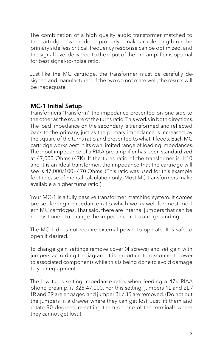The combination of a high quality audio transformer matched to the cartridge - when done properly - makes cable length on the primary side less critical, frequency response can be optimized, and the signal level delivered to the input of the pre-amplifier is optimal for best signal-to-noise ratio.

Just like the MC cartridge, the transformer must be carefully designed and manufactured. If the two do not mate well, the results will be inadequate.

## MC-1 Initial Setup

Transformers "transform" the impedance presented on one side to the other as the square of the turns ratio. This works in both directions. The load impedance on the secondary is transformed and reflected back to the primary, just as the primary impedance is increased by the square of the turns ratio and presented to what it feeds. Each MC cartridge works best in its own limited range of loading impedances. The input impedance of a RIAA pre-amplifier has been standardized at 47,000 Ohms (47K). If the turns ratio of the transformer is 1:10 and it is an ideal transformer, the impedance that the cartridge will see is 47,000/100=470 Ohms. (This ratio was used for this example for the ease of mental calculation only. Most MC transformers make available a higher turns ratio.)

Your MC-1 is a fully passive transformer matching system. It comes pre-set for high impedance ratio which works well for most modern MC cartridges. That said, there are internal jumpers that can be re-positioned to change the impedance ratio and grounding.

The MC-1 does not require external power to operate. It is safe to open if desired.

To change gain settings remove cover (4 screws) and set gain with jumpers according to diagram. It is important to disconnect power to associated components while this is being done to avoid damage to your equipment.

The low turns setting impedance ratio, when feeding a 47K RIAA phono preamp, is 326:47,000. For this setting, jumpers 1L and 2L / 1R and 2R are engaged and jumper 3L / 3R are removed. (Do not put the jumpers in a drawer where they can get lost. Just lift them and rotate 90 degrees, re-setting them on one of the terminals where they cannot get lost.)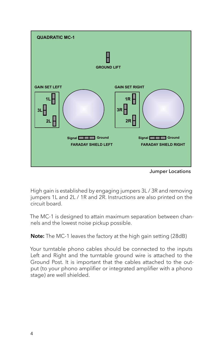

Jumper Locations

High gain is established by engaging jumpers 3L / 3R and removing jumpers 1L and 2L / 1R and 2R. Instructions are also printed on the circuit board.

The MC-1 is designed to attain maximum separation between channels and the lowest noise pickup possible.

Note: The MC-1 leaves the factory at the high gain setting (28dB)

Your turntable phono cables should be connected to the inputs Left and Right and the turntable ground wire is attached to the Ground Post. It is important that the cables attached to the output (to your phono amplifier or integrated amplifier with a phono stage) are well shielded.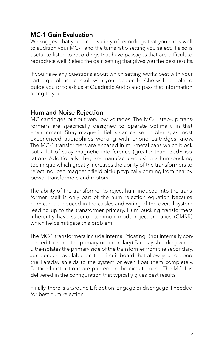## MC-1 Gain Evaluation

We suggest that you pick a variety of recordings that you know well to audition your MC-1 and the turns ratio setting you select. It also is useful to listen to recordings that have passages that are difficult to reproduce well. Select the gain setting that gives you the best results.

If you have any questions about which setting works best with your cartridge, please consult with your dealer. He/she will be able to guide you or to ask us at Quadratic Audio and pass that information along to you.

## Hum and Noise Rejection

MC cartridges put out very low voltages. The MC-1 step-up transformers are specifically designed to operate optimally in that environment. Stray magnetic fields can cause problems, as most experienced audiophiles working with phono cartridges know. The MC-1 transformers are encased in mu-metal cans which block out a lot of stray magnetic interference (greater than -30dB isolation). Additionally, they are manufactured using a hum-bucking technique which greatly increases the ability of the transformers to reject induced magnetic field pickup typically coming from nearby power transformers and motors.

The ability of the transformer to reject hum induced into the transformer itself is only part of the hum rejection equation because hum can be induced in the cables and wiring of the overall system leading up to the transformer primary. Hum bucking transformers inherently have superior common mode rejection ratios (CMRR) which helps mitigate this problem.

The MC-1 transformers include internal "floating" (not internally connected to either the primary or secondary) Faraday shielding which ultra-isolates the primary side of the transformer from the secondary. Jumpers are available on the circuit board that allow you to bond the Faraday shields to the system or even float them completely. Detailed instructions are printed on the circuit board. The MC-1 is delivered in the configuration that typically gives best results.

Finally, there is a Ground Lift option. Engage or disengage if needed for best hum rejection.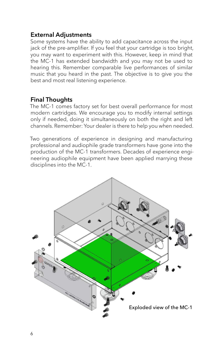## External Adjustments

Some systems have the ability to add capacitance across the input jack of the pre-amplifier. If you feel that your cartridge is too bright, you may want to experiment with this. However, keep in mind that the MC-1 has extended bandwidth and you may not be used to hearing this. Remember comparable live performances of similar music that you heard in the past. The objective is to give you the best and most real listening experience.

## Final Thoughts

The MC-1 comes factory set for best overall performance for most modern cartridges. We encourage you to modify internal settings only if needed, doing it simultaneously on both the right and left channels. Remember: Your dealer is there to help you when needed.

Two generations of experience in designing and manufacturing professional and audiophile grade transformers have gone into the production of the MC-1 transformers. Decades of experience engineering audiophile equipment have been applied marrying these disciplines into the MC-1.

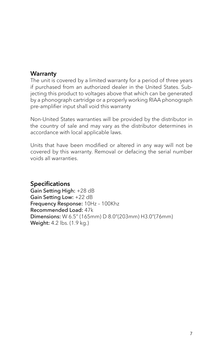## **Warranty**

The unit is covered by a limited warranty for a period of three years if purchased from an authorized dealer in the United States. Subjecting this product to voltages above that which can be generated by a phonograph cartridge or a properly working RIAA phonograph pre-amplifier input shall void this warranty

Non-United States warranties will be provided by the distributor in the country of sale and may vary as the distributor determines in accordance with local applicable laws.

Units that have been modified or altered in any way will not be covered by this warranty. Removal or defacing the serial number voids all warranties.

## Specifications

Gain Setting High: +28 dB Gain Setting Low: +22 dB Frequency Response: 10Hz – 100Khz Recommended Load: 47k Dimensions: W 6.5" (165mm) D 8.0"(203mm) H3.0"(76mm) Weight: 4.2 lbs. (1.9 kg.)